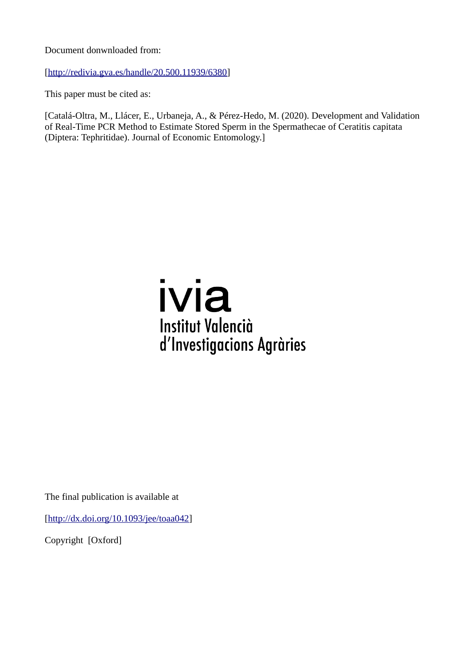Document donwnloaded from:

[[http://redivia.gva.es/handle/20.500.11939/6380\]](http://redivia.gva.es/handle/20.500.11939/6380)

This paper must be cited as:

[Catalá-Oltra, M., Llácer, E., Urbaneja, A., & Pérez-Hedo, M. (2020). Development and Validation of Real-Time PCR Method to Estimate Stored Sperm in the Spermathecae of Ceratitis capitata (Diptera: Tephritidae). Journal of Economic Entomology.]

# ivia **Institut Valencià** d'Investigacions Agràries

The final publication is available at

[[http://dx.doi.org/10.1093/jee/toaa042\]](http://dx.doi.org/10.1093/jee/toaa042)

Copyright [Oxford]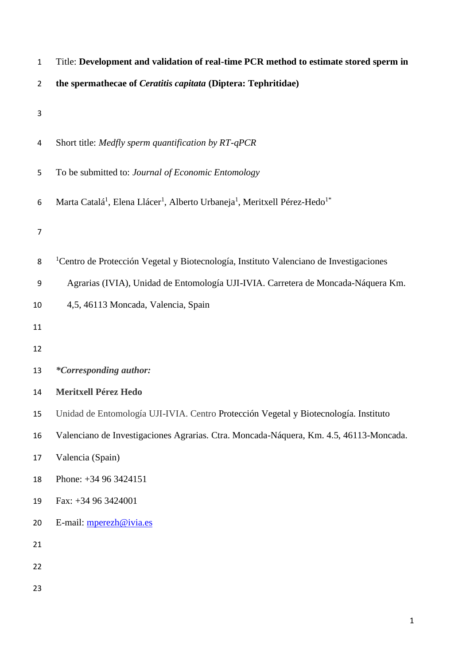| $\overline{2}$ | the spermathecae of <i>Ceratitis capitata</i> (Diptera: Tephritidae)                                                       |
|----------------|----------------------------------------------------------------------------------------------------------------------------|
| 3              |                                                                                                                            |
| 4              | Short title: Medfly sperm quantification by RT-qPCR                                                                        |
| 5              | To be submitted to: Journal of Economic Entomology                                                                         |
| 6              | Marta Catalá <sup>1</sup> , Elena Llácer <sup>1</sup> , Alberto Urbaneja <sup>1</sup> , Meritxell Pérez-Hedo <sup>1*</sup> |
| $\overline{7}$ |                                                                                                                            |
| 8              | <sup>1</sup> Centro de Protección Vegetal y Biotecnología, Instituto Valenciano de Investigaciones                         |
| 9              | Agrarias (IVIA), Unidad de Entomología UJI-IVIA. Carretera de Moncada-Náquera Km.                                          |
| 10             | 4,5, 46113 Moncada, Valencia, Spain                                                                                        |
| 11             |                                                                                                                            |
| 12             |                                                                                                                            |
| 13             | <i>*Corresponding author:</i>                                                                                              |
| 14             | <b>Meritxell Pérez Hedo</b>                                                                                                |
| 15             | Unidad de Entomología UJI-IVIA. Centro Protección Vegetal y Biotecnología. Instituto                                       |
| 16             | Valenciano de Investigaciones Agrarias. Ctra. Moncada-Náquera, Km. 4.5, 46113-Moncada.                                     |
| 17             | Valencia (Spain)                                                                                                           |
| 18             | Phone: +34 96 3424151                                                                                                      |
| 19             | Fax: +34 96 3424001                                                                                                        |
| 20             | E-mail: mperezh@ivia.es                                                                                                    |
| 21             |                                                                                                                            |
| 22             |                                                                                                                            |
| 23             |                                                                                                                            |

Title: **Development and validation of real-time PCR method to estimate stored sperm in**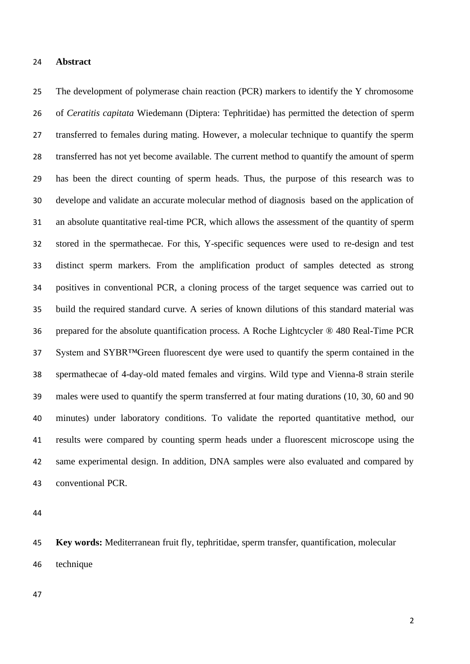#### **Abstract**

 The development of polymerase chain reaction (PCR) markers to identify the Y chromosome of *Ceratitis capitata* Wiedemann (Diptera: Tephritidae) has permitted the detection of sperm transferred to females during mating. However, a molecular technique to quantify the sperm transferred has not yet become available. The current method to quantify the amount of sperm has been the direct counting of sperm heads. Thus, the purpose of this research was to develope and validate an accurate molecular method of diagnosis based on the application of an absolute quantitative real-time PCR, which allows the assessment of the quantity of sperm stored in the spermathecae. For this, Y-specific sequences were used to re-design and test distinct sperm markers. From the amplification product of samples detected as strong positives in conventional PCR, a cloning process of the target sequence was carried out to build the required standard curve. A series of known dilutions of this standard material was prepared for the absolute quantification process. A Roche Lightcycler ® 480 Real-Time PCR System and SYBR™Green fluorescent dye were used to quantify the sperm contained in the spermathecae of 4-day-old mated females and virgins. Wild type and Vienna-8 strain sterile males were used to quantify the sperm transferred at four mating durations (10, 30, 60 and 90 minutes) under laboratory conditions. To validate the reported quantitative method, our results were compared by counting sperm heads under a fluorescent microscope using the same experimental design. In addition, DNA samples were also evaluated and compared by conventional PCR.

 **Key words:** Mediterranean fruit fly, tephritidae, sperm transfer, quantification, molecular technique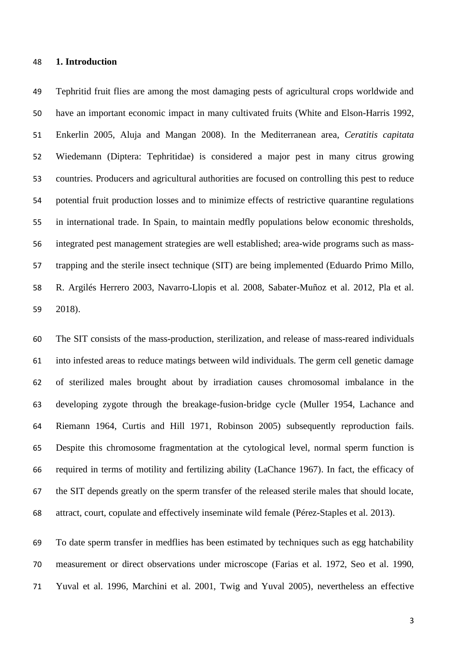#### **1. Introduction**

 Tephritid fruit flies are among the most damaging pests of agricultural crops worldwide and have an important economic impact in many cultivated fruits (White and Elson-Harris 1992, Enkerlin 2005, Aluja and Mangan 2008). In the Mediterranean area, *Ceratitis capitata* Wiedemann (Diptera: Tephritidae) is considered a major pest in many citrus growing countries. Producers and agricultural authorities are focused on controlling this pest to reduce potential fruit production losses and to minimize effects of restrictive quarantine regulations in international trade. In Spain, to maintain medfly populations below economic thresholds, integrated pest management strategies are well established; area-wide programs such as mass- trapping and the sterile insect technique (SIT) are being implemented (Eduardo Primo Millo, R. Argilés Herrero 2003, Navarro-Llopis et al. 2008, Sabater-Muñoz et al. 2012, Pla et al. 2018).

 The SIT consists of the mass-production, sterilization, and release of mass-reared individuals into infested areas to reduce matings between wild individuals. The germ cell genetic damage of sterilized males brought about by irradiation causes chromosomal imbalance in the developing zygote through the breakage-fusion-bridge cycle (Muller 1954, Lachance and Riemann 1964, Curtis and Hill 1971, Robinson 2005) subsequently reproduction fails. Despite this chromosome fragmentation at the cytological level, normal sperm function is required in terms of motility and fertilizing ability (LaChance 1967). In fact, the efficacy of the SIT depends greatly on the sperm transfer of the released sterile males that should locate, attract, court, copulate and effectively inseminate wild female (Pérez-Staples et al. 2013).

 To date sperm transfer in medflies has been estimated by techniques such as egg hatchability measurement or direct observations under microscope (Farias et al. 1972, Seo et al. 1990, Yuval et al. 1996, Marchini et al. 2001, Twig and Yuval 2005), nevertheless an effective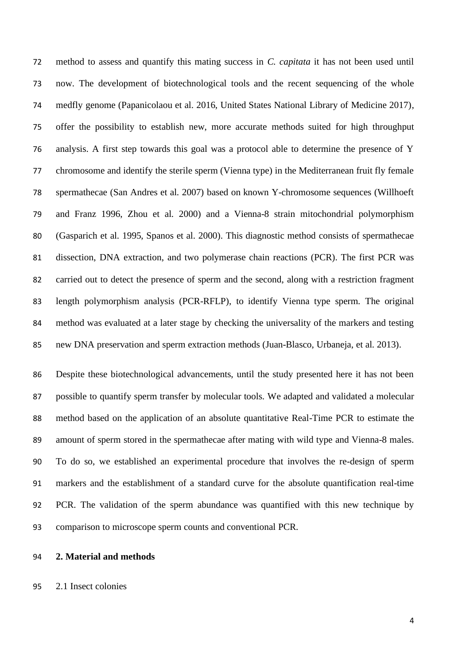method to assess and quantify this mating success in *C. capitata* it has not been used until now. The development of biotechnological tools and the recent sequencing of the whole medfly genome (Papanicolaou et al. 2016, United States National Library of Medicine 2017), offer the possibility to establish new, more accurate methods suited for high throughput analysis. A first step towards this goal was a protocol able to determine the presence of Y chromosome and identify the sterile sperm (Vienna type) in the Mediterranean fruit fly female spermathecae (San Andres et al. 2007) based on known Y-chromosome sequences (Willhoeft and Franz 1996, Zhou et al. 2000) and a Vienna-8 strain mitochondrial polymorphism (Gasparich et al. 1995, Spanos et al. 2000). This diagnostic method consists of spermathecae dissection, DNA extraction, and two polymerase chain reactions (PCR). The first PCR was carried out to detect the presence of sperm and the second, along with a restriction fragment length polymorphism analysis (PCR-RFLP), to identify Vienna type sperm. The original method was evaluated at a later stage by checking the universality of the markers and testing new DNA preservation and sperm extraction methods (Juan-Blasco, Urbaneja, et al. 2013).

 Despite these biotechnological advancements, until the study presented here it has not been possible to quantify sperm transfer by molecular tools. We adapted and validated a molecular method based on the application of an absolute quantitative Real-Time PCR to estimate the amount of sperm stored in the spermathecae after mating with wild type and Vienna-8 males. To do so, we established an experimental procedure that involves the re-design of sperm markers and the establishment of a standard curve for the absolute quantification real-time PCR. The validation of the sperm abundance was quantified with this new technique by comparison to microscope sperm counts and conventional PCR.

# **2. Material and methods**

2.1 Insect colonies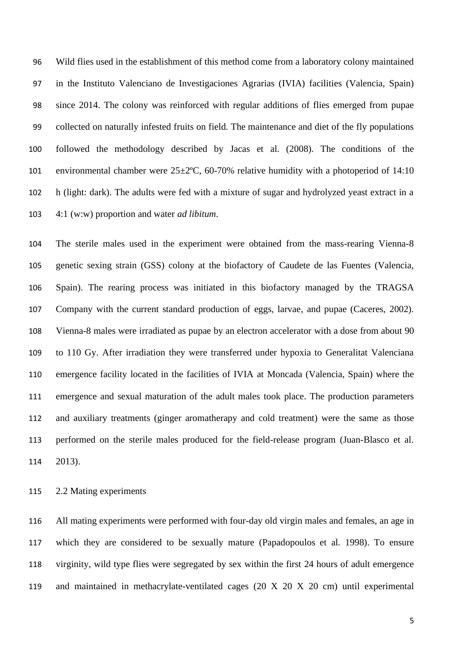Wild flies used in the establishment of this method come from a laboratory colony maintained in the Instituto Valenciano de Investigaciones Agrarias (IVIA) facilities (Valencia, Spain) since 2014. The colony was reinforced with regular additions of flies emerged from pupae collected on naturally infested fruits on field. The maintenance and diet of the fly populations followed the methodology described by Jacas et al. (2008). The conditions of the 101 environmental chamber were  $25\pm2\degree$ C, 60-70% relative humidity with a photoperiod of 14:10 h (light: dark). The adults were fed with a mixture of sugar and hydrolyzed yeast extract in a 4:1 (w:w) proportion and water *ad libitum*.

 The sterile males used in the experiment were obtained from the mass-rearing Vienna-8 genetic sexing strain (GSS) colony at the biofactory of Caudete de las Fuentes (Valencia, Spain). The rearing process was initiated in this biofactory managed by the TRAGSA Company with the current standard production of eggs, larvae, and pupae (Caceres, 2002). Vienna-8 males were irradiated as pupae by an electron accelerator with a dose from about 90 to 110 Gy. After irradiation they were transferred under hypoxia to Generalitat Valenciana emergence facility located in the facilities of IVIA at Moncada (Valencia, Spain) where the emergence and sexual maturation of the adult males took place. The production parameters and auxiliary treatments (ginger aromatherapy and cold treatment) were the same as those performed on the sterile males produced for the field-release program (Juan-Blasco et al. 2013).

2.2 Mating experiments

 All mating experiments were performed with four-day old virgin males and females, an age in which they are considered to be sexually mature (Papadopoulos et al. 1998). To ensure virginity, wild type flies were segregated by sex within the first 24 hours of adult emergence and maintained in methacrylate-ventilated cages (20 X 20 X 20 cm) until experimental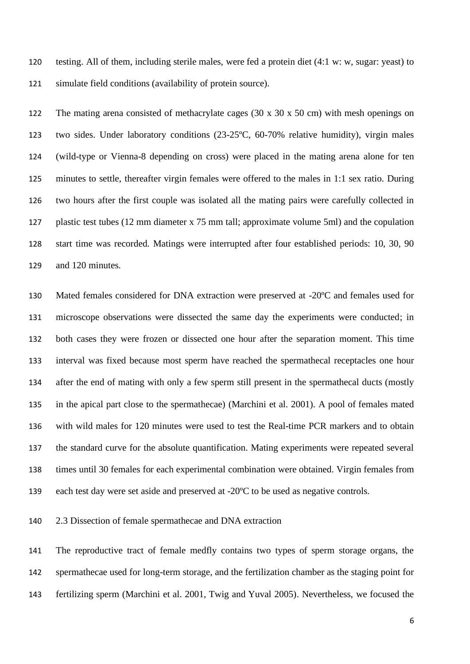testing. All of them, including sterile males, were fed a protein diet (4:1 w: w, sugar: yeast) to simulate field conditions (availability of protein source).

122 The mating arena consisted of methacrylate cages (30 x 30 x 50 cm) with mesh openings on two sides. Under laboratory conditions (23-25ºC, 60-70% relative humidity), virgin males (wild-type or Vienna-8 depending on cross) were placed in the mating arena alone for ten minutes to settle, thereafter virgin females were offered to the males in 1:1 sex ratio. During two hours after the first couple was isolated all the mating pairs were carefully collected in plastic test tubes (12 mm diameter x 75 mm tall; approximate volume 5ml) and the copulation start time was recorded. Matings were interrupted after four established periods: 10, 30, 90 and 120 minutes.

 Mated females considered for DNA extraction were preserved at -20ºC and females used for microscope observations were dissected the same day the experiments were conducted; in both cases they were frozen or dissected one hour after the separation moment. This time interval was fixed because most sperm have reached the spermathecal receptacles one hour after the end of mating with only a few sperm still present in the spermathecal ducts (mostly in the apical part close to the spermathecae) (Marchini et al. 2001). A pool of females mated with wild males for 120 minutes were used to test the Real-time PCR markers and to obtain the standard curve for the absolute quantification. Mating experiments were repeated several times until 30 females for each experimental combination were obtained. Virgin females from each test day were set aside and preserved at -20ºC to be used as negative controls.

2.3 Dissection of female spermathecae and DNA extraction

 The reproductive tract of female medfly contains two types of sperm storage organs, the spermathecae used for long-term storage, and the fertilization chamber as the staging point for fertilizing sperm (Marchini et al. 2001, Twig and Yuval 2005). Nevertheless, we focused the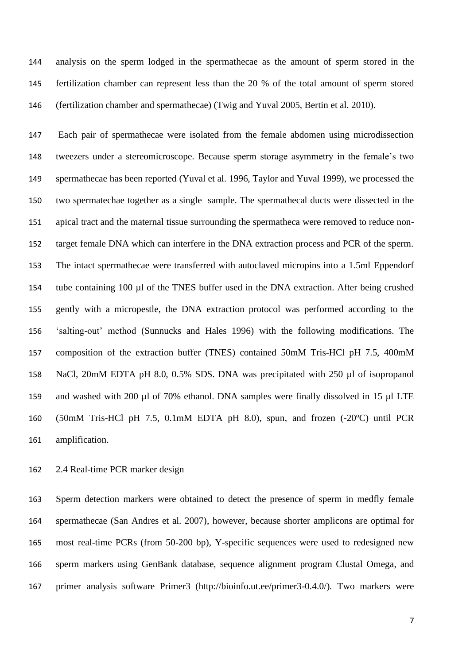analysis on the sperm lodged in the spermathecae as the amount of sperm stored in the fertilization chamber can represent less than the 20 % of the total amount of sperm stored (fertilization chamber and spermathecae) (Twig and Yuval 2005, Bertin et al. 2010).

 Each pair of spermathecae were isolated from the female abdomen using microdissection tweezers under a stereomicroscope. Because sperm storage asymmetry in the female's two spermathecae has been reported (Yuval et al. 1996, Taylor and Yuval 1999), we processed the two spermatechae together as a single sample. The spermathecal ducts were dissected in the apical tract and the maternal tissue surrounding the spermatheca were removed to reduce non- target female DNA which can interfere in the DNA extraction process and PCR of the sperm. The intact spermathecae were transferred with autoclaved micropins into a 1.5ml Eppendorf tube containing 100 µl of the TNES buffer used in the DNA extraction. After being crushed gently with a micropestle, the DNA extraction protocol was performed according to the 'salting-out' method (Sunnucks and Hales 1996) with the following modifications. The composition of the extraction buffer (TNES) contained 50mM Tris-HCl pH 7.5, 400mM NaCl, 20mM EDTA pH 8.0, 0.5% SDS. DNA was precipitated with 250 µl of isopropanol 159 and washed with 200 µl of 70% ethanol. DNA samples were finally dissolved in 15 µl LTE (50mM Tris-HCl pH 7.5, 0.1mM EDTA pH 8.0), spun, and frozen (-20ºC) until PCR amplification.

2.4 Real-time PCR marker design

 Sperm detection markers were obtained to detect the presence of sperm in medfly female spermathecae (San Andres et al. 2007), however, because shorter amplicons are optimal for most real-time PCRs (from 50-200 bp), Y-specific sequences were used to redesigned new sperm markers using GenBank database, sequence alignment program Clustal Omega, and primer analysis software Primer3 (http://bioinfo.ut.ee/primer3-0.4.0/). Two markers were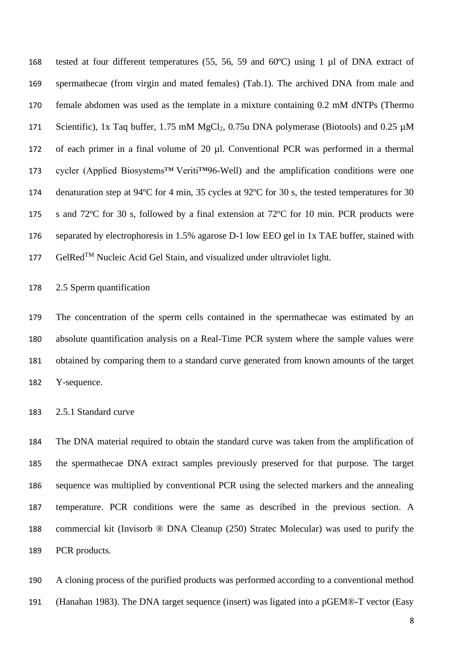tested at four different temperatures (55, 56, 59 and 60ºC) using 1 µl of DNA extract of spermathecae (from virgin and mated females) (Tab.1). The archived DNA from male and female abdomen was used as the template in a mixture containing 0.2 mM dNTPs (Thermo 171 Scientific), 1x Taq buffer, 1.75 mM MgCl<sub>2</sub>, 0.75u DNA polymerase (Biotools) and 0.25  $\mu$ M of each primer in a final volume of 20 µl. Conventional PCR was performed in a thermal cycler (Applied Biosystems™ Veriti™96-Well) and the amplification conditions were one denaturation step at 94ºC for 4 min, 35 cycles at 92ºC for 30 s, the tested temperatures for 30 s and 72ºC for 30 s, followed by a final extension at 72ºC for 10 min. PCR products were separated by electrophoresis in 1.5% agarose D-1 low EEO gel in 1x TAE buffer, stained with 177 GelRed<sup>TM</sup> Nucleic Acid Gel Stain, and visualized under ultraviolet light.

2.5 Sperm quantification

 The concentration of the sperm cells contained in the spermathecae was estimated by an absolute quantification analysis on a Real-Time PCR system where the sample values were obtained by comparing them to a standard curve generated from known amounts of the target Y-sequence.

2.5.1 Standard curve

 The DNA material required to obtain the standard curve was taken from the amplification of the spermathecae DNA extract samples previously preserved for that purpose. The target sequence was multiplied by conventional PCR using the selected markers and the annealing temperature. PCR conditions were the same as described in the previous section. A commercial kit (Invisorb ® DNA Cleanup (250) Stratec Molecular) was used to purify the PCR products.

 A cloning process of the purified products was performed according to a conventional method (Hanahan 1983). The DNA target sequence (insert) was ligated into a pGEM®-T vector (Easy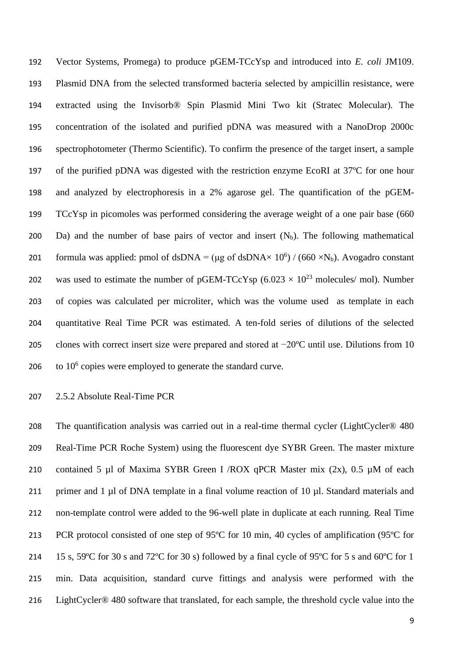Vector Systems, Promega) to produce pGEM-TCcYsp and introduced into *E. coli* JM109. Plasmid DNA from the selected transformed bacteria selected by ampicillin resistance, were extracted using the Invisorb® Spin Plasmid Mini Two kit (Stratec Molecular). The concentration of the isolated and purified pDNA was measured with a NanoDrop 2000c spectrophotometer (Thermo Scientific). To confirm the presence of the target insert, a sample of the purified pDNA was digested with the restriction enzyme EcoRI at 37ºC for one hour and analyzed by electrophoresis in a 2% agarose gel. The quantification of the pGEM- TCcYsp in picomoles was performed considering the average weight of a one pair base (660 200 Da) and the number of base pairs of vector and insert  $(N_b)$ . The following mathematical 201 formula was applied: pmol of dsDNA = (μg of dsDNA ×  $10^6$ ) / (660 ×N<sub>b</sub>). Avogadro constant 202 was used to estimate the number of pGEM-TCcYsp  $(6.023 \times 10^{23} \text{ molecules/mol})$ . Number of copies was calculated per microliter, which was the volume used as template in each quantitative Real Time PCR was estimated. A ten-fold series of dilutions of the selected clones with correct insert size were prepared and stored at −20ºC until use. Dilutions from 10 206 to  $10^6$  copies were employed to generate the standard curve.

2.5.2 Absolute Real-Time PCR

208 The quantification analysis was carried out in a real-time thermal cycler (LightCycler® 480) Real-Time PCR Roche System) using the fluorescent dye SYBR Green. The master mixture 210 contained 5 µl of Maxima SYBR Green I /ROX qPCR Master mix  $(2x)$ , 0.5 µM of each 211 primer and 1 µl of DNA template in a final volume reaction of 10 µl. Standard materials and non-template control were added to the 96-well plate in duplicate at each running. Real Time PCR protocol consisted of one step of 95ºC for 10 min, 40 cycles of amplification (95ºC for 214 15 s, 59°C for 30 s and 72°C for 30 s) followed by a final cycle of 95°C for 5 s and 60°C for 1 min. Data acquisition, standard curve fittings and analysis were performed with the LightCycler® 480 software that translated, for each sample, the threshold cycle value into the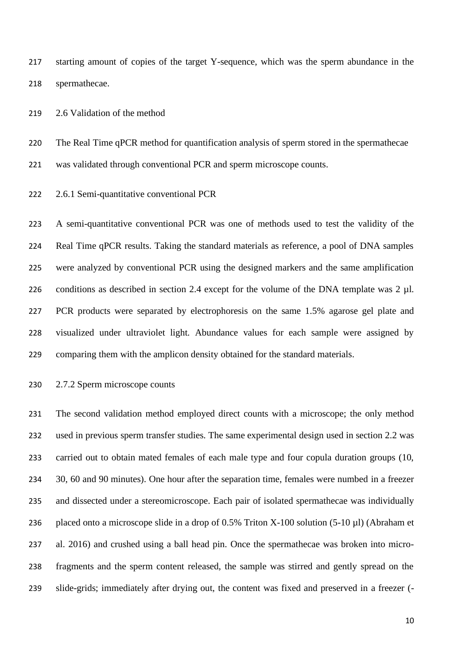starting amount of copies of the target Y-sequence, which was the sperm abundance in the spermathecae.

2.6 Validation of the method

 The Real Time qPCR method for quantification analysis of sperm stored in the spermathecae was validated through conventional PCR and sperm microscope counts.

2.6.1 Semi-quantitative conventional PCR

 A semi-quantitative conventional PCR was one of methods used to test the validity of the Real Time qPCR results. Taking the standard materials as reference, a pool of DNA samples were analyzed by conventional PCR using the designed markers and the same amplification 226 conditions as described in section 2.4 except for the volume of the DNA template was 2 µl. PCR products were separated by electrophoresis on the same 1.5% agarose gel plate and visualized under ultraviolet light. Abundance values for each sample were assigned by comparing them with the amplicon density obtained for the standard materials.

2.7.2 Sperm microscope counts

 The second validation method employed direct counts with a microscope; the only method used in previous sperm transfer studies. The same experimental design used in section 2.2 was carried out to obtain mated females of each male type and four copula duration groups (10, 30, 60 and 90 minutes). One hour after the separation time, females were numbed in a freezer and dissected under a stereomicroscope. Each pair of isolated spermathecae was individually placed onto a microscope slide in a drop of 0.5% Triton X-100 solution (5-10 µl) (Abraham et al. 2016) and crushed using a ball head pin. Once the spermathecae was broken into micro- fragments and the sperm content released, the sample was stirred and gently spread on the slide-grids; immediately after drying out, the content was fixed and preserved in a freezer (-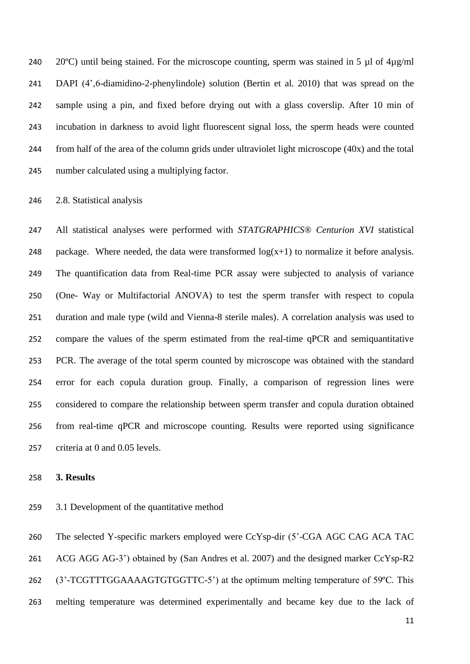240 20°C) until being stained. For the microscope counting, sperm was stained in 5 µl of 4µg/ml DAPI (4',6-diamidino-2-phenylindole) solution (Bertin et al. 2010) that was spread on the sample using a pin, and fixed before drying out with a glass coverslip. After 10 min of incubation in darkness to avoid light fluorescent signal loss, the sperm heads were counted from half of the area of the column grids under ultraviolet light microscope (40x) and the total number calculated using a multiplying factor.

2.8. Statistical analysis

 All statistical analyses were performed with *STATGRAPHICS® Centurion XVI* statistical 248 package. Where needed, the data were transformed  $log(x+1)$  to normalize it before analysis. The quantification data from Real-time PCR assay were subjected to analysis of variance (One- Way or Multifactorial ANOVA) to test the sperm transfer with respect to copula duration and male type (wild and Vienna-8 sterile males). A correlation analysis was used to compare the values of the sperm estimated from the real-time qPCR and semiquantitative PCR. The average of the total sperm counted by microscope was obtained with the standard error for each copula duration group. Finally, a comparison of regression lines were considered to compare the relationship between sperm transfer and copula duration obtained from real-time qPCR and microscope counting. Results were reported using significance criteria at 0 and 0.05 levels.

### **3. Results**

## 3.1 Development of the quantitative method

 The selected Y-specific markers employed were CcYsp-dir (5'-CGA AGC CAG ACA TAC ACG AGG AG-3') obtained by (San Andres et al. 2007) and the designed marker CcYsp-R2 262 (3'-TCGTTTGGAAAAGTGTGGTTC-5') at the optimum melting temperature of 59°C. This melting temperature was determined experimentally and became key due to the lack of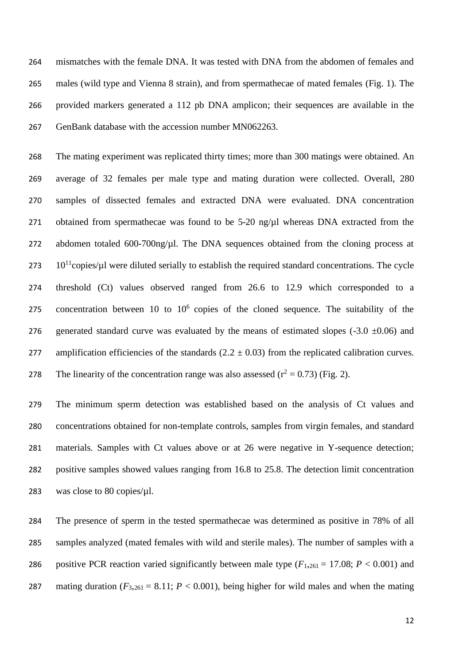mismatches with the female DNA. It was tested with DNA from the abdomen of females and males (wild type and Vienna 8 strain), and from spermathecae of mated females (Fig. 1). The provided markers generated a 112 pb DNA amplicon; their sequences are available in the GenBank database with the accession number MN062263.

268 The mating experiment was replicated thirty times; more than 300 matings were obtained. An 269 average of 32 females per male type and mating duration were collected. Overall, 280 270 samples of dissected females and extracted DNA were evaluated. DNA concentration 271 obtained from spermathecae was found to be 5-20 ng/ $\mu$ l whereas DNA extracted from the 272 abdomen totaled  $600-700$ ng/ $\mu$ l. The DNA sequences obtained from the cloning process at 273  $10^{11}$  copies/ul were diluted serially to establish the required standard concentrations. The cycle 274 threshold (Ct) values observed ranged from 26.6 to 12.9 which corresponded to a 275 concentration between 10 to  $10^6$  copies of the cloned sequence. The suitability of the 276 generated standard curve was evaluated by the means of estimated slopes  $(-3.0 \pm 0.06)$  and 277 amplification efficiencies of the standards  $(2.2 \pm 0.03)$  from the replicated calibration curves. 278 The linearity of the concentration range was also assessed  $(r^2 = 0.73)$  (Fig. 2).

 The minimum sperm detection was established based on the analysis of Ct values and concentrations obtained for non-template controls, samples from virgin females, and standard materials. Samples with Ct values above or at 26 were negative in Y-sequence detection; positive samples showed values ranging from 16.8 to 25.8. The detection limit concentration 283 was close to 80 copies/ $\mu$ l.

284 The presence of sperm in the tested spermathecae was determined as positive in 78% of all 285 samples analyzed (mated females with wild and sterile males). The number of samples with a 286 positive PCR reaction varied significantly between male type  $(F_{1,261} = 17.08; P < 0.001)$  and 287 mating duration  $(F_{3,261} = 8.11; P < 0.001)$ , being higher for wild males and when the mating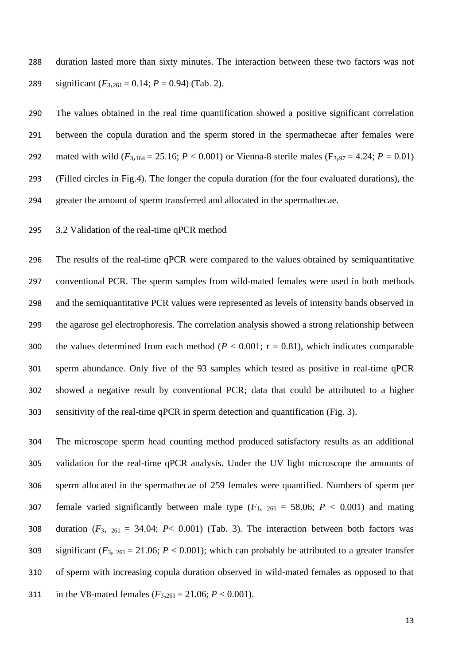duration lasted more than sixty minutes. The interaction between these two factors was not 289 significant  $(F_{3,261} = 0.14; P = 0.94)$  (Tab. 2).

 The values obtained in the real time quantification showed a positive significant correlation between the copula duration and the sperm stored in the spermathecae after females were 292 mated with wild  $(F_{3,164} = 25.16; P < 0.001)$  or Vienna-8 sterile males  $(F_{3,97} = 4.24; P = 0.01)$  (Filled circles in Fig.4). The longer the copula duration (for the four evaluated durations), the greater the amount of sperm transferred and allocated in the spermathecae.

## 3.2 Validation of the real-time qPCR method

 The results of the real-time qPCR were compared to the values obtained by semiquantitative conventional PCR. The sperm samples from wild-mated females were used in both methods and the semiquantitative PCR values were represented as levels of intensity bands observed in the agarose gel electrophoresis. The correlation analysis showed a strong relationship between 300 the values determined from each method  $(P < 0.001$ ;  $r = 0.81)$ , which indicates comparable sperm abundance. Only five of the 93 samples which tested as positive in real-time qPCR showed a negative result by conventional PCR; data that could be attributed to a higher sensitivity of the real-time qPCR in sperm detection and quantification (Fig. 3).

 The microscope sperm head counting method produced satisfactory results as an additional validation for the real-time qPCR analysis. Under the UV light microscope the amounts of sperm allocated in the spermathecae of 259 females were quantified. Numbers of sperm per 307 female varied significantly between male type  $(F_1, 261 = 58.06; P < 0.001)$  and mating 308 duration  $(F_3, 261 = 34.04; P < 0.001)$  (Tab. 3). The interaction between both factors was 309 significant ( $F_3$ ,  $_{261}$  = 21.06;  $P < 0.001$ ); which can probably be attributed to a greater transfer of sperm with increasing copula duration observed in wild-mated females as opposed to that 311 in the V8-mated females  $(F_{3,261} = 21.06; P < 0.001)$ .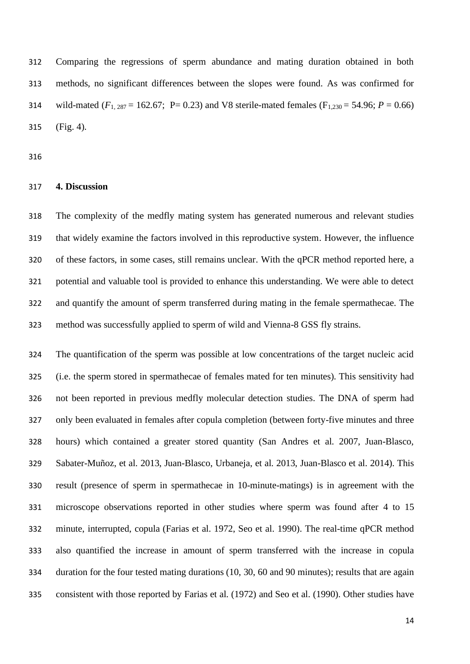Comparing the regressions of sperm abundance and mating duration obtained in both methods, no significant differences between the slopes were found. As was confirmed for 314 wild-mated  $(F_{1, 287} = 162.67; P = 0.23)$  and V8 sterile-mated females  $(F_{1,230} = 54.96; P = 0.66)$ (Fig. 4).

## **4. Discussion**

 The complexity of the medfly mating system has generated numerous and relevant studies that widely examine the factors involved in this reproductive system. However, the influence of these factors, in some cases, still remains unclear. With the qPCR method reported here, a potential and valuable tool is provided to enhance this understanding. We were able to detect and quantify the amount of sperm transferred during mating in the female spermathecae. The method was successfully applied to sperm of wild and Vienna-8 GSS fly strains.

 The quantification of the sperm was possible at low concentrations of the target nucleic acid (i.e. the sperm stored in spermathecae of females mated for ten minutes). This sensitivity had not been reported in previous medfly molecular detection studies. The DNA of sperm had only been evaluated in females after copula completion (between forty-five minutes and three hours) which contained a greater stored quantity (San Andres et al. 2007, Juan-Blasco, Sabater-Muñoz, et al. 2013, Juan-Blasco, Urbaneja, et al. 2013, Juan-Blasco et al. 2014). This result (presence of sperm in spermathecae in 10-minute-matings) is in agreement with the microscope observations reported in other studies where sperm was found after 4 to 15 minute, interrupted, copula (Farias et al. 1972, Seo et al. 1990). The real-time qPCR method also quantified the increase in amount of sperm transferred with the increase in copula duration for the four tested mating durations (10, 30, 60 and 90 minutes); results that are again consistent with those reported by Farias et al. (1972) and Seo et al. (1990). Other studies have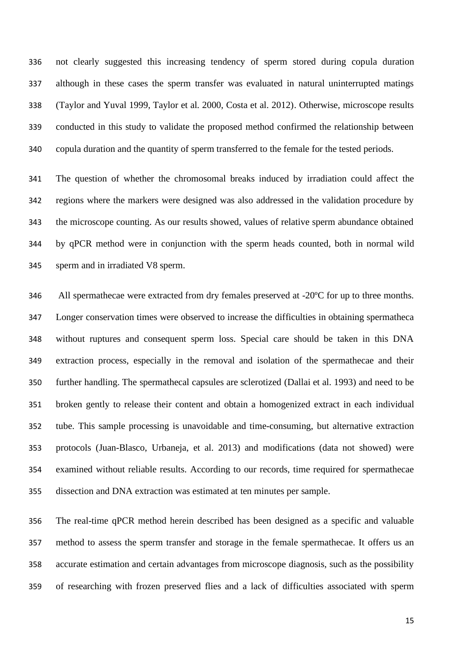not clearly suggested this increasing tendency of sperm stored during copula duration although in these cases the sperm transfer was evaluated in natural uninterrupted matings (Taylor and Yuval 1999, Taylor et al. 2000, Costa et al. 2012). Otherwise, microscope results conducted in this study to validate the proposed method confirmed the relationship between copula duration and the quantity of sperm transferred to the female for the tested periods.

 The question of whether the chromosomal breaks induced by irradiation could affect the regions where the markers were designed was also addressed in the validation procedure by the microscope counting. As our results showed, values of relative sperm abundance obtained by qPCR method were in conjunction with the sperm heads counted, both in normal wild sperm and in irradiated V8 sperm.

 All spermathecae were extracted from dry females preserved at -20ºC for up to three months. Longer conservation times were observed to increase the difficulties in obtaining spermatheca without ruptures and consequent sperm loss. Special care should be taken in this DNA extraction process, especially in the removal and isolation of the spermathecae and their further handling. The spermathecal capsules are sclerotized (Dallai et al. 1993) and need to be broken gently to release their content and obtain a homogenized extract in each individual tube. This sample processing is unavoidable and time-consuming, but alternative extraction protocols (Juan-Blasco, Urbaneja, et al. 2013) and modifications (data not showed) were examined without reliable results. According to our records, time required for spermathecae dissection and DNA extraction was estimated at ten minutes per sample.

 The real-time qPCR method herein described has been designed as a specific and valuable method to assess the sperm transfer and storage in the female spermathecae. It offers us an accurate estimation and certain advantages from microscope diagnosis, such as the possibility of researching with frozen preserved flies and a lack of difficulties associated with sperm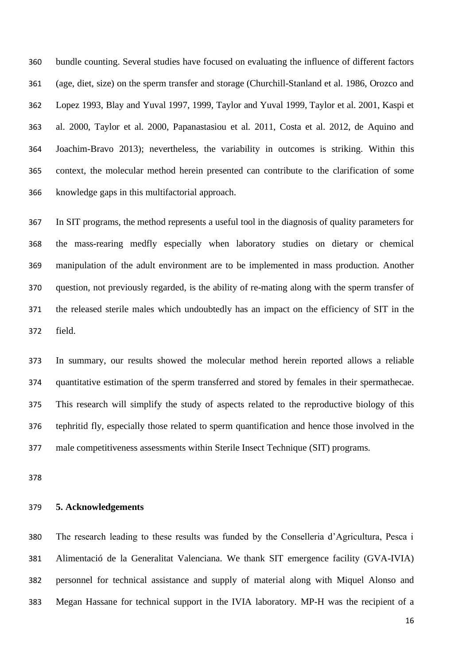bundle counting. Several studies have focused on evaluating the influence of different factors (age, diet, size) on the sperm transfer and storage (Churchill-Stanland et al. 1986, Orozco and Lopez 1993, Blay and Yuval 1997, 1999, Taylor and Yuval 1999, Taylor et al. 2001, Kaspi et al. 2000, Taylor et al. 2000, Papanastasiou et al. 2011, Costa et al. 2012, de Aquino and Joachim-Bravo 2013); nevertheless, the variability in outcomes is striking. Within this context, the molecular method herein presented can contribute to the clarification of some knowledge gaps in this multifactorial approach.

 In SIT programs, the method represents a useful tool in the diagnosis of quality parameters for the mass-rearing medfly especially when laboratory studies on dietary or chemical manipulation of the adult environment are to be implemented in mass production. Another question, not previously regarded, is the ability of re-mating along with the sperm transfer of the released sterile males which undoubtedly has an impact on the efficiency of SIT in the field.

 In summary, our results showed the molecular method herein reported allows a reliable quantitative estimation of the sperm transferred and stored by females in their spermathecae. This research will simplify the study of aspects related to the reproductive biology of this tephritid fly, especially those related to sperm quantification and hence those involved in the male competitiveness assessments within Sterile Insect Technique (SIT) programs.

#### **5. Acknowledgements**

 The research leading to these results was funded by the Conselleria d'Agricultura, Pesca i Alimentació de la Generalitat Valenciana. We thank SIT emergence facility (GVA-IVIA) personnel for technical assistance and supply of material along with Miquel Alonso and Megan Hassane for technical support in the IVIA laboratory. MP-H was the recipient of a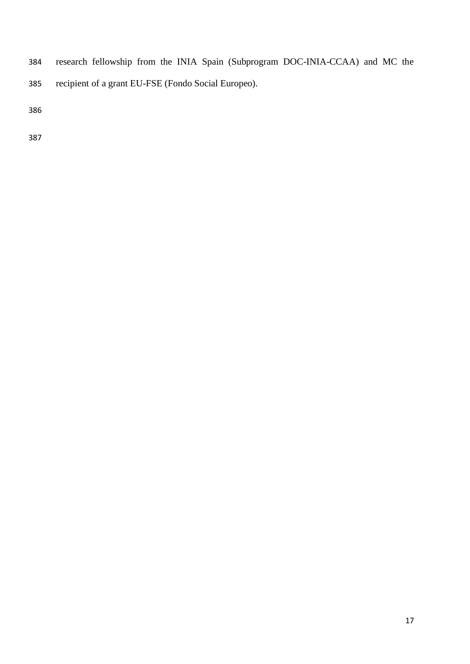- research fellowship from the INIA Spain (Subprogram DOC-INIA-CCAA) and MC the
- recipient of a grant EU-FSE (Fondo Social Europeo).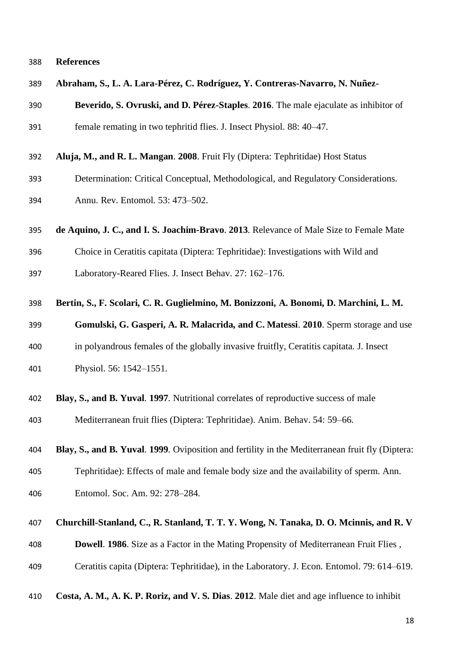# **References**

| 389 | Abraham, S., L. A. Lara-Pérez, C. Rodríguez, Y. Contreras-Navarro, N. Nuñez-                     |  |  |
|-----|--------------------------------------------------------------------------------------------------|--|--|
| 390 | Beverido, S. Ovruski, and D. Pérez-Staples. 2016. The male ejaculate as inhibitor of             |  |  |
| 391 | female remating in two tephritid flies. J. Insect Physiol. 88: 40–47.                            |  |  |
| 392 | Aluja, M., and R. L. Mangan. 2008. Fruit Fly (Diptera: Tephritidae) Host Status                  |  |  |
| 393 | Determination: Critical Conceptual, Methodological, and Regulatory Considerations.               |  |  |
| 394 | Annu. Rev. Entomol. 53: 473-502.                                                                 |  |  |
| 395 | de Aquino, J. C., and I. S. Joachim-Bravo. 2013. Relevance of Male Size to Female Mate           |  |  |
| 396 | Choice in Ceratitis capitata (Diptera: Tephritidae): Investigations with Wild and                |  |  |
| 397 | Laboratory-Reared Flies. J. Insect Behav. 27: 162-176.                                           |  |  |
| 398 | Bertin, S., F. Scolari, C. R. Guglielmino, M. Bonizzoni, A. Bonomi, D. Marchini, L. M.           |  |  |
| 399 | Gomulski, G. Gasperi, A. R. Malacrida, and C. Matessi. 2010. Sperm storage and use               |  |  |
| 400 | in polyandrous females of the globally invasive fruitfly, Ceratitis capitata. J. Insect          |  |  |
| 401 | Physiol. 56: 1542-1551.                                                                          |  |  |
| 402 | Blay, S., and B. Yuval. 1997. Nutritional correlates of reproductive success of male             |  |  |
| 403 | Mediterranean fruit flies (Diptera: Tephritidae). Anim. Behav. 54: 59–66.                        |  |  |
| 404 | Blay, S., and B. Yuval. 1999. Oviposition and fertility in the Mediterranean fruit fly (Diptera: |  |  |
| 405 | Tephritidae): Effects of male and female body size and the availability of sperm. Ann.           |  |  |
| 406 | Entomol. Soc. Am. 92: 278-284.                                                                   |  |  |
| 407 | Churchill-Stanland, C., R. Stanland, T. T. Y. Wong, N. Tanaka, D. O. Mcinnis, and R. V           |  |  |
| 408 | Dowell. 1986. Size as a Factor in the Mating Propensity of Mediterranean Fruit Flies,            |  |  |
| 409 | Ceratitis capita (Diptera: Tephritidae), in the Laboratory. J. Econ. Entomol. 79: 614–619.       |  |  |
| 410 | Costa, A. M., A. K. P. Roriz, and V. S. Dias. 2012. Male diet and age influence to inhibit       |  |  |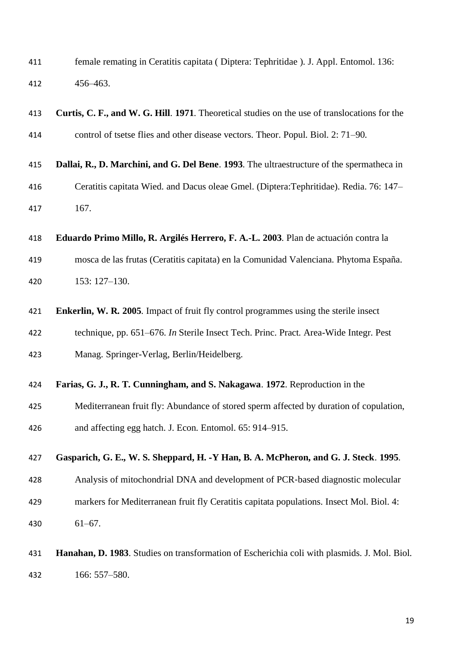| 411 | female remating in Ceratitis capitata (Diptera: Tephritidae). J. Appl. Entomol. 136: |
|-----|--------------------------------------------------------------------------------------|
| 412 | 456–463.                                                                             |

| 413 | Curtis, C. F., and W. G. Hill. 1971. Theoretical studies on the use of translocations for the |
|-----|-----------------------------------------------------------------------------------------------|
| 414 | control of tsetse flies and other disease vectors. Theor. Popul. Biol. 2: 71–90.              |
| 415 | Dallai, R., D. Marchini, and G. Del Bene. 1993. The ultraestructure of the spermatheca in     |
| 416 | Ceratitis capitata Wied. and Dacus oleae Gmel. (Diptera:Tephritidae). Redia. 76: 147-         |
| 417 | 167.                                                                                          |
| 418 | Eduardo Primo Millo, R. Argilés Herrero, F. A.-L. 2003. Plan de actuación contra la           |
| 419 | mosca de las frutas (Ceratitis capitata) en la Comunidad Valenciana. Phytoma España.          |
| 420 | 153: 127-130.                                                                                 |
| 421 | Enkerlin, W. R. 2005. Impact of fruit fly control programmes using the sterile insect         |
| 422 | technique, pp. 651–676. In Sterile Insect Tech. Princ. Pract. Area-Wide Integr. Pest          |
| 423 | Manag. Springer-Verlag, Berlin/Heidelberg.                                                    |
| 424 | Farias, G. J., R. T. Cunningham, and S. Nakagawa. 1972. Reproduction in the                   |
| 425 | Mediterranean fruit fly: Abundance of stored sperm affected by duration of copulation,        |
| 426 | and affecting egg hatch. J. Econ. Entomol. 65: 914-915.                                       |
| 427 | Gasparich, G. E., W. S. Sheppard, H. -Y Han, B. A. McPheron, and G. J. Steck. 1995.           |
| 428 | Analysis of mitochondrial DNA and development of PCR-based diagnostic molecular               |
| 429 | markers for Mediterranean fruit fly Ceratitis capitata populations. Insect Mol. Biol. 4:      |

- 61–67.
- **Hanahan, D. 1983**. Studies on transformation of Escherichia coli with plasmids. J. Mol. Biol. 166: 557–580.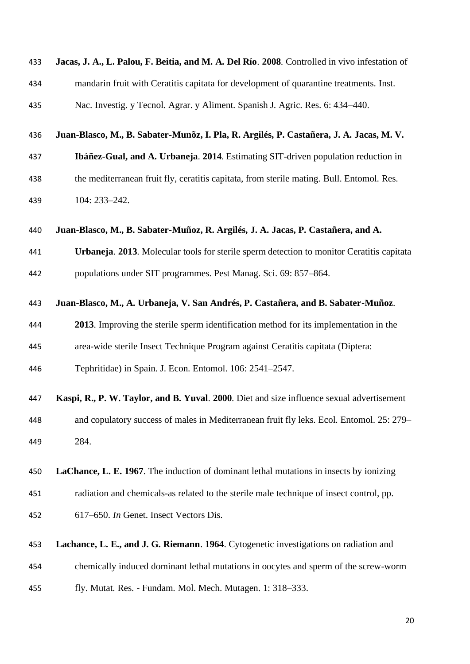| 433 | Jacas, J. A., L. Palou, F. Beitia, and M. A. Del Río. 2008. Controlled in vivo infestation of |  |  |
|-----|-----------------------------------------------------------------------------------------------|--|--|
| 434 | mandarin fruit with Ceratitis capitata for development of quarantine treatments. Inst.        |  |  |
| 435 | Nac. Investig. y Tecnol. Agrar. y Aliment. Spanish J. Agric. Res. 6: 434–440.                 |  |  |
| 436 | Juan-Blasco, M., B. Sabater-Munõz, I. Pla, R. Argilés, P. Castañera, J. A. Jacas, M. V.       |  |  |
| 437 | Ibáñez-Gual, and A. Urbaneja. 2014. Estimating SIT-driven population reduction in             |  |  |
| 438 | the mediterranean fruit fly, ceratitis capitata, from sterile mating. Bull. Entomol. Res.     |  |  |
| 439 | 104: 233-242.                                                                                 |  |  |
| 440 | Juan-Blasco, M., B. Sabater-Muñoz, R. Argilés, J. A. Jacas, P. Castañera, and A.              |  |  |
| 441 | Urbaneja. 2013. Molecular tools for sterile sperm detection to monitor Ceratitis capitata     |  |  |
| 442 | populations under SIT programmes. Pest Manag. Sci. 69: 857–864.                               |  |  |
| 443 | Juan-Blasco, M., A. Urbaneja, V. San Andrés, P. Castañera, and B. Sabater-Muñoz.              |  |  |
| 444 | 2013. Improving the sterile sperm identification method for its implementation in the         |  |  |
| 445 | area-wide sterile Insect Technique Program against Ceratitis capitata (Diptera:               |  |  |
| 446 | Tephritidae) in Spain. J. Econ. Entomol. 106: 2541-2547.                                      |  |  |
| 447 | Kaspi, R., P. W. Taylor, and B. Yuval. 2000. Diet and size influence sexual advertisement     |  |  |
| 448 | and copulatory success of males in Mediterranean fruit fly leks. Ecol. Entomol. 25: 279–      |  |  |
| 449 | 284.                                                                                          |  |  |
| 450 | LaChance, L. E. 1967. The induction of dominant lethal mutations in insects by ionizing       |  |  |
| 451 | radiation and chemicals-as related to the sterile male technique of insect control, pp.       |  |  |
| 452 | 617–650. In Genet. Insect Vectors Dis.                                                        |  |  |
| 453 | Lachance, L. E., and J. G. Riemann. 1964. Cytogenetic investigations on radiation and         |  |  |
| 454 | chemically induced dominant lethal mutations in oocytes and sperm of the screw-worm           |  |  |
| 455 | fly. Mutat. Res. - Fundam. Mol. Mech. Mutagen. 1: 318–333.                                    |  |  |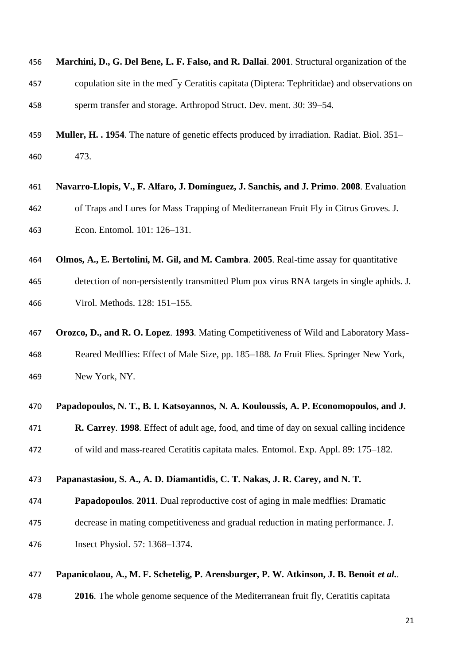| 456 | Marchini, D., G. Del Bene, L. F. Falso, and R. Dallai. 2001. Structural organization of the             |
|-----|---------------------------------------------------------------------------------------------------------|
| 457 | copulation site in the med <sup>-</sup> y Ceratitis capitata (Diptera: Tephritidae) and observations on |
| 458 | sperm transfer and storage. Arthropod Struct. Dev. ment. 30: 39–54.                                     |

- **Muller, H. . 1954**. The nature of genetic effects produced by irradiation. Radiat. Biol. 351– 473.
- **Navarro-Llopis, V., F. Alfaro, J. Domínguez, J. Sanchis, and J. Primo**. **2008**. Evaluation of Traps and Lures for Mass Trapping of Mediterranean Fruit Fly in Citrus Groves. J. Econ. Entomol. 101: 126–131.
- **Olmos, A., E. Bertolini, M. Gil, and M. Cambra**. **2005**. Real-time assay for quantitative detection of non-persistently transmitted Plum pox virus RNA targets in single aphids. J. Virol. Methods. 128: 151–155.
- **Orozco, D., and R. O. Lopez**. **1993**. Mating Competitiveness of Wild and Laboratory Mass- Reared Medflies: Effect of Male Size, pp. 185–188. *In* Fruit Flies. Springer New York, New York, NY.
- **Papadopoulos, N. T., B. I. Katsoyannos, N. A. Kouloussis, A. P. Economopoulos, and J. R. Carrey**. **1998**. Effect of adult age, food, and time of day on sexual calling incidence
- of wild and mass-reared Ceratitis capitata males. Entomol. Exp. Appl. 89: 175–182.
- **Papanastasiou, S. A., A. D. Diamantidis, C. T. Nakas, J. R. Carey, and N. T.**
- **Papadopoulos**. **2011**. Dual reproductive cost of aging in male medflies: Dramatic
- decrease in mating competitiveness and gradual reduction in mating performance. J.
- Insect Physiol. 57: 1368–1374.
- **Papanicolaou, A., M. F. Schetelig, P. Arensburger, P. W. Atkinson, J. B. Benoit** *et al***.**.
- **2016**. The whole genome sequence of the Mediterranean fruit fly, Ceratitis capitata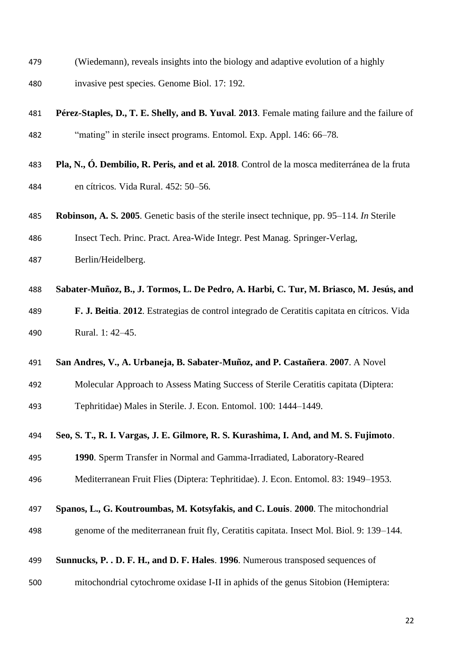- (Wiedemann), reveals insights into the biology and adaptive evolution of a highly
- invasive pest species. Genome Biol. 17: 192.
- **Pérez-Staples, D., T. E. Shelly, and B. Yuval**. **2013**. Female mating failure and the failure of "mating" in sterile insect programs. Entomol. Exp. Appl. 146: 66–78.
- **Pla, N., Ó. Dembilio, R. Peris, and et al. 2018**. Control de la mosca mediterránea de la fruta en cítricos. Vida Rural. 452: 50–56.
- **Robinson, A. S. 2005**. Genetic basis of the sterile insect technique, pp. 95–114. *In* Sterile
- Insect Tech. Princ. Pract. Area-Wide Integr. Pest Manag. Springer-Verlag,
- Berlin/Heidelberg.
- **Sabater-Muñoz, B., J. Tormos, L. De Pedro, A. Harbi, C. Tur, M. Briasco, M. Jesús, and**
- **F. J. Beitia**. **2012**. Estrategias de control integrado de Ceratitis capitata en cítricos. Vida Rural. 1: 42–45.
- **San Andres, V., A. Urbaneja, B. Sabater-Muñoz, and P. Castañera**. **2007**. A Novel
- Molecular Approach to Assess Mating Success of Sterile Ceratitis capitata (Diptera:
- Tephritidae) Males in Sterile. J. Econ. Entomol. 100: 1444–1449.
- **Seo, S. T., R. I. Vargas, J. E. Gilmore, R. S. Kurashima, I. And, and M. S. Fujimoto**.
- **1990**. Sperm Transfer in Normal and Gamma-Irradiated, Laboratory-Reared
- Mediterranean Fruit Flies (Diptera: Tephritidae). J. Econ. Entomol. 83: 1949–1953.
- **Spanos, L., G. Koutroumbas, M. Kotsyfakis, and C. Louis**. **2000**. The mitochondrial
- genome of the mediterranean fruit fly, Ceratitis capitata. Insect Mol. Biol. 9: 139–144.
- **Sunnucks, P. . D. F. H., and D. F. Hales**. **1996**. Numerous transposed sequences of
- mitochondrial cytochrome oxidase I-II in aphids of the genus Sitobion (Hemiptera: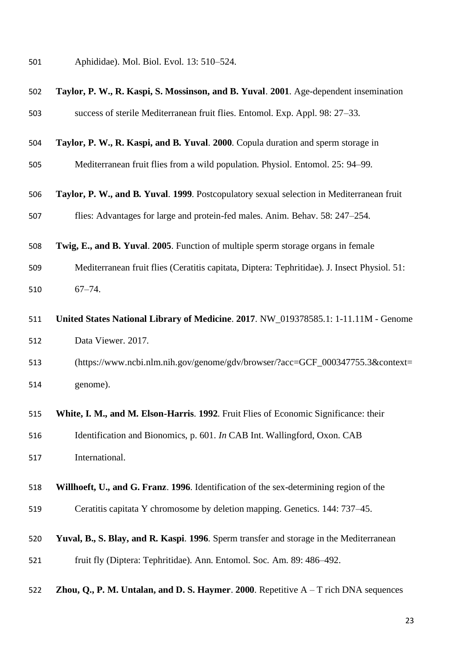Aphididae). Mol. Biol. Evol. 13: 510–524.

| 502 | Taylor, P. W., R. Kaspi, S. Mossinson, and B. Yuval. 2001. Age-dependent insemination |
|-----|---------------------------------------------------------------------------------------|
| 503 | success of sterile Mediterranean fruit flies. Entomol. Exp. Appl. 98: 27–33.          |

**Taylor, P. W., R. Kaspi, and B. Yuval**. **2000**. Copula duration and sperm storage in

- Mediterranean fruit flies from a wild population. Physiol. Entomol. 25: 94–99.
- **Taylor, P. W., and B. Yuval**. **1999**. Postcopulatory sexual selection in Mediterranean fruit flies: Advantages for large and protein-fed males. Anim. Behav. 58: 247–254.

**Twig, E., and B. Yuval**. **2005**. Function of multiple sperm storage organs in female

- Mediterranean fruit flies (Ceratitis capitata, Diptera: Tephritidae). J. Insect Physiol. 51: 67–74.
- **United States National Library of Medicine**. **2017**. NW\_019378585.1: 1-11.11M Genome Data Viewer. 2017.
- (https://www.ncbi.nlm.nih.gov/genome/gdv/browser/?acc=GCF\_000347755.3&context= genome).

 **White, I. M., and M. Elson-Harris**. **1992**. Fruit Flies of Economic Significance: their Identification and Bionomics, p. 601. *In* CAB Int. Wallingford, Oxon. CAB International.

 **Willhoeft, U., and G. Franz**. **1996**. Identification of the sex-determining region of the Ceratitis capitata Y chromosome by deletion mapping. Genetics. 144: 737–45.

- **Yuval, B., S. Blay, and R. Kaspi**. **1996**. Sperm transfer and storage in the Mediterranean fruit fly (Diptera: Tephritidae). Ann. Entomol. Soc. Am. 89: 486–492.
- **Zhou, Q., P. M. Untalan, and D. S. Haymer**. **2000**. Repetitive A T rich DNA sequences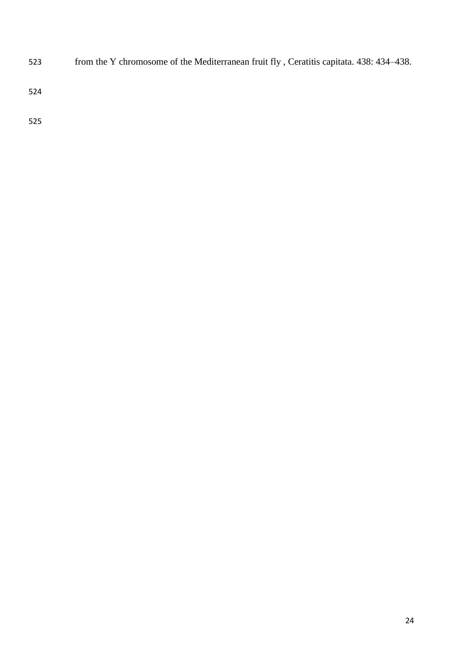from the Y chromosome of the Mediterranean fruit fly , Ceratitis capitata. 438: 434–438.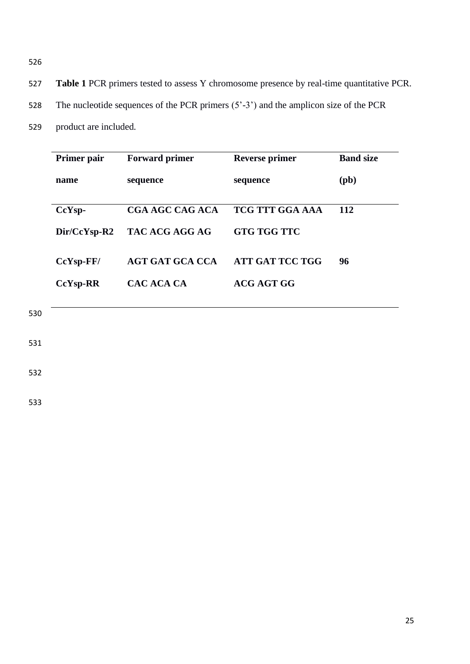- 527 **Table 1** PCR primers tested to assess Y chromosome presence by real-time quantitative PCR.
- 528 The nucleotide sequences of the PCR primers (5'-3') and the amplicon size of the PCR
- 529 product are included.

| Primer pair    | <b>Forward primer</b>  | <b>Reverse primer</b>  | <b>Band size</b> |
|----------------|------------------------|------------------------|------------------|
| name           | sequence               | sequence               | $(\mathbf{pb})$  |
| CcYsp-         | <b>CGA AGC CAG ACA</b> | <b>TCG TTT GGA AAA</b> | 112              |
| $Dir/CcYsp-R2$ | TAC ACG AGG AG         | <b>GTG TGG TTC</b>     |                  |
| $CcYsp-FF/$    | AGT GAT GCA CCA        | ATT GAT TCC TGG        | 96               |
| $CcYsp-RR$     | CAC ACA CA             | ACG AGT GG             |                  |
|                |                        |                        |                  |

530

531

532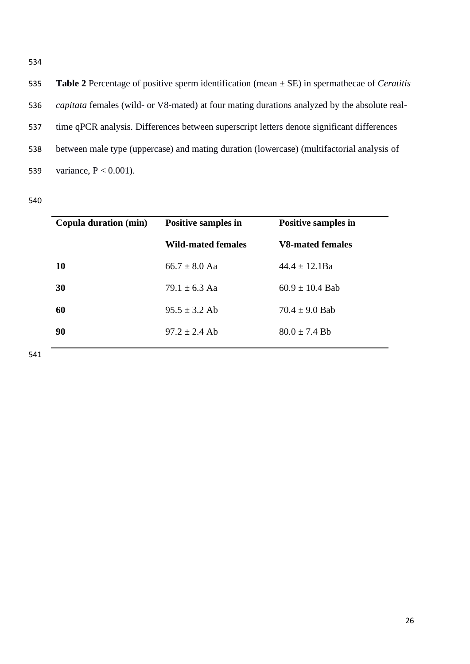**Table 2** Percentage of positive sperm identification (mean ± SE) in spermathecae of *Ceratitis capitata* females (wild- or V8-mated) at four mating durations analyzed by the absolute real- time qPCR analysis. Differences between superscript letters denote significant differences between male type (uppercase) and mating duration (lowercase) (multifactorial analysis of variance, P < 0.001).



| Copula duration (min) | <b>Positive samples in</b> | <b>Positive samples in</b> |
|-----------------------|----------------------------|----------------------------|
|                       | Wild-mated females         | V8-mated females           |
| 10                    | $66.7 + 8.0$ Aa            | $44.4 + 12.1$ Ba           |
| 30                    | $79.1 + 6.3$ Aa            | $60.9 + 10.4$ Bab          |
| 60                    | $95.5 \pm 3.2$ Ab          | $70.4 \pm 9.0$ Bab         |
| 90                    | $97.2 \pm 2.4$ Ab          | $80.0 \pm 7.4$ Bb          |
|                       |                            |                            |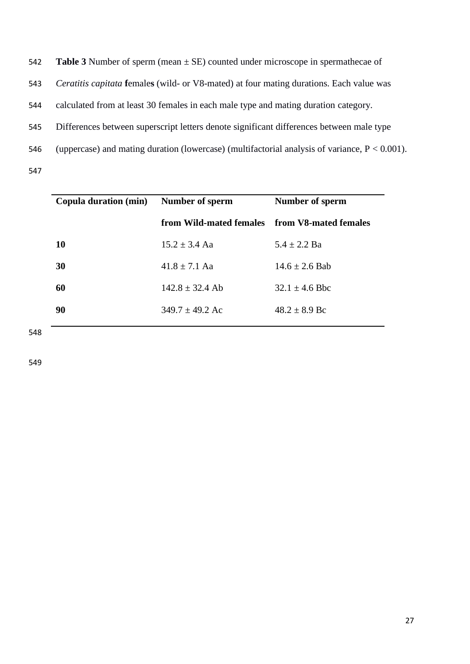**Table 3** Number of sperm (mean ± SE) counted under microscope in spermathecae of *Ceratitis capitata* **f**emale**s** (wild- or V8-mated) at four mating durations. Each value was calculated from at least 30 females in each male type and mating duration category. Differences between superscript letters denote significant differences between male type 546 (uppercase) and mating duration (lowercase) (multifactorial analysis of variance,  $P < 0.001$ ). 

| <b>Copula duration (min)</b> | Number of sperm                               | Number of sperm  |
|------------------------------|-----------------------------------------------|------------------|
|                              | from Wild-mated females from V8-mated females |                  |
| 10                           | $15.2 + 3.4$ Aa                               | $5.4 + 2.2$ Ba   |
| 30                           | $41.8 + 7.1$ Aa                               | $14.6 + 2.6$ Bab |
| 60                           | $142.8 \pm 32.4$ Ab                           | $32.1 + 4.6$ Bbc |
| 90                           | $349.7 \pm 49.2$ Ac                           | $48.2 + 8.9$ Bc  |
|                              |                                               |                  |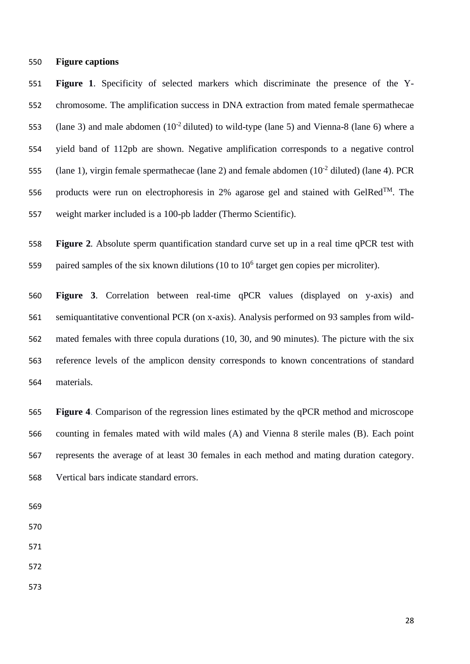### **Figure captions**

 **Figure 1**. Specificity of selected markers which discriminate the presence of the Y- chromosome. The amplification success in DNA extraction from mated female spermathecae (lane 3) and male abdomen  $(10^{-2}$  diluted) to wild-type (lane 5) and Vienna-8 (lane 6) where a yield band of 112pb are shown. Negative amplification corresponds to a negative control 555 (lane 1), virgin female spermathecae (lane 2) and female abdomen  $(10^{-2}$  diluted) (lane 4). PCR 556 products were run on electrophoresis in 2% agarose gel and stained with GelRed<sup>TM</sup>. The weight marker included is a 100-pb ladder (Thermo Scientific).

 **Figure 2**. Absolute sperm quantification standard curve set up in a real time qPCR test with 559 paired samples of the six known dilutions (10 to  $10<sup>6</sup>$  target gen copies per microliter).

 **Figure 3**. Correlation between real-time qPCR values (displayed on y-axis) and semiquantitative conventional PCR (on x-axis). Analysis performed on 93 samples from wild- mated females with three copula durations (10, 30, and 90 minutes). The picture with the six reference levels of the amplicon density corresponds to known concentrations of standard materials.

 **Figure 4**. Comparison of the regression lines estimated by the qPCR method and microscope counting in females mated with wild males (A) and Vienna 8 sterile males (B). Each point represents the average of at least 30 females in each method and mating duration category. Vertical bars indicate standard errors.

- 
- 
- 
-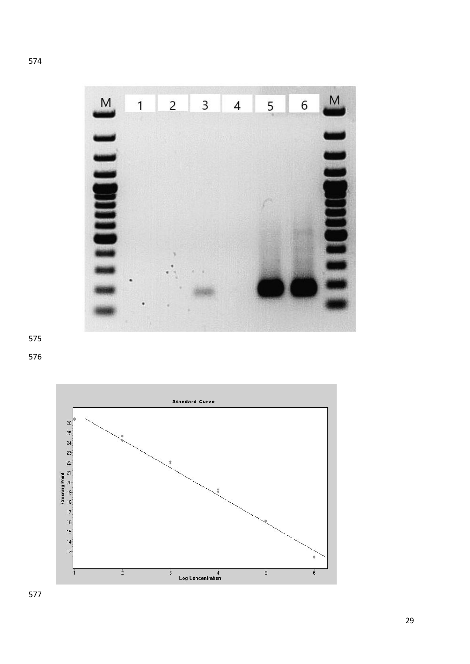